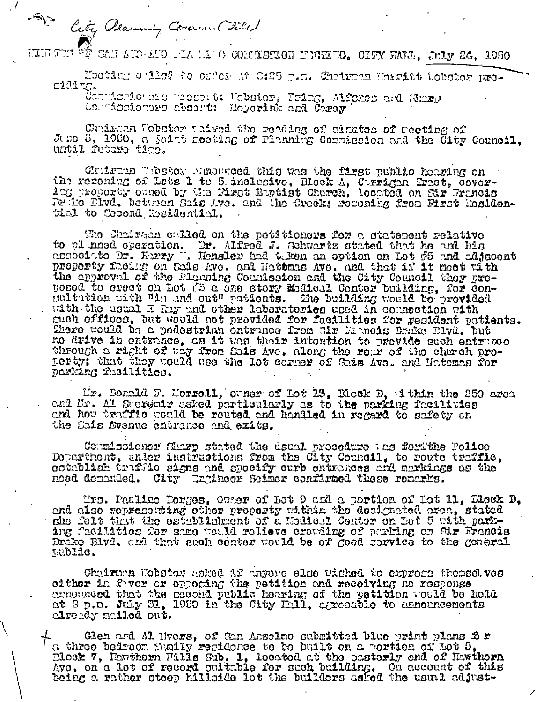$\left\langle \widehat{\mathcal{A}} \right\rangle$ City Planning Coverent Filed

 $\cdot$ /

HIR TIN WE CAN AUTHOR FAA NI'O CONNECTON NIVERTO, CIPY HALL, JULY 24, 1950

Mooting called to oxdor at S:25 p.m. Choirman Morritt Wobstor prooiding.

Completionare precept: Wobster, Pring, Alfames and Sharp Corridoioners absent: Meyerink and Corey

Chairman Wobster unived the reading of minutes of meeting of June 5, 1950, a joint meeting of Flanning Corrigeion and the City Council. until feturo timo.

Cluirun Whster Mundered this was the first public houring on the recondug of Lots 1 to 5 inclusive, Block A, Corrigan Pract, Cover-<br>1ng property comed by the First Boptist Church, located on Sir Francis Dr is Divd. between Sais Ave. and the Crock: recoming from Fizet insidential to Cecond Rosidential.

The Chairman culled on the potitionary for a statement relative to pl nned operation. Dr. Alfred J. Schwartz stated that he and his associated that he and his associated by. Figure 1. Honder had the an option on Lot #5 and adjection property facing on Sais Ave. and Hather and that if i posed to erect on Lot (3 a one story Modical Conter building, for consultation with "in and out" patients. The building would be provided with the usual I hay and other laboratories used in connection with such offices, but would not provided for facilities for resident patients. There would be a podestrian entrence from Hir Francis Drake Blvd. Dut no drive in ontrance, as it was their intention to provide such entrance through a right of way from Sais Ave. along the rear of the church pro-perty; that they would use the lot corner of Sais Ave. and Hatomas for parking facilities.

Mr. Donald F. Morroll, owner of Lot 13, Block D, 1 thin the 250 area and Mr. Al Sucremir asked particularly as to the parking facilities and how traffic would be routed and handled in regard to safety on the Sais Svenue entrance and exits.

Commissioner Sharp stated the usual procedure ths fortthe Police Dopartment, under instructions from the City Council, to route traffie, ostablish truffle signs and specify ourb entrances and markings as the noed denanded. City Ingineer Seimer confirmed these remarks.

Mrs. Pauline Porges, Ouner of Lot 9 and a portion of Lot 11, Block D, end also representing other property within the decignated area, stated she folt that the establishment of a Modical Center on Lot 5 with parking facilities for same would relieve crowding of parking on fdr Francis Drake Blvd. and that such conter would be of good corvice to the general public.

Chairman Webster asked if anyone else wiched to express themselves cither in fovor or opposing the petition and recoiving no response ennounced that the second public hearing of the petition would be hold at 8 p.m. July 31, 1950 in the City Hall, agreeable to announcements clready mailed out.

Glen and Al Bvors, of San Ansolmo submitted blue print plans 2 r a three bedroom funily regidence to be built on a portion of Lot 5, Dlock 7, Hawthorn Fills Sub. 1, located at the easterly end of Hawthorn Ave. on a lot of record sultable for such building. On account of this being a rather stoop hillside lot the builders asked the usual adjust-